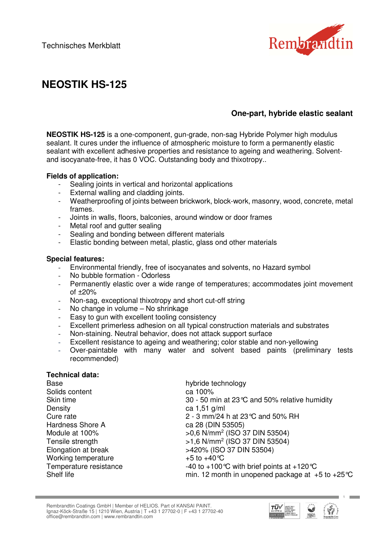

# **NEOSTIK HS-125**

## **One-part, hybride elastic sealant**

**NEOSTIK HS-125** is a one-component, gun-grade, non-sag Hybride Polymer high modulus sealant. It cures under the influence of atmospheric moisture to form a permanently elastic sealant with excellent adhesive properties and resistance to ageing and weathering. Solventand isocyanate-free, it has 0 VOC. Outstanding body and thixotropy..

#### **Fields of application:**

- Sealing joints in vertical and horizontal applications
- External walling and cladding joints.
- Weatherproofing of joints between brickwork, block-work, masonry, wood, concrete, metal frames.
- Joints in walls, floors, balconies, around window or door frames
- Metal roof and gutter sealing
- Sealing and bonding between different materials
- Elastic bonding between metal, plastic, glass ond other materials

#### **Special features:**

- Environmental friendly, free of isocyanates and solvents, no Hazard symbol
- No bubble formation Odorless
- Permanently elastic over a wide range of temperatures; accommodates joint movement of  $\pm 20\%$
- Non-sag, exceptional thixotropy and short cut-off string
- No change in volume No shrinkage
- Easy to gun with excellent tooling consistency
- Excellent primerless adhesion on all typical construction materials and substrates
- Non-staining. Neutral behavior, does not attack support surface
- Excellent resistance to ageing and weathering; color stable and non-yellowing
- Over-paintable with many water and solvent based paints (preliminary tests recommended)

#### **Technical data:**

| <b>Base</b>            | hybride technology                                           |
|------------------------|--------------------------------------------------------------|
| Solids content         | ca 100%                                                      |
| Skin time              | 30 - 50 min at 23 °C and 50% relative humidity               |
| Density                | ca $1,51$ g/ml                                               |
| Cure rate              | 2 - 3 mm/24 h at 23 °C and 50% RH                            |
| Hardness Shore A       | ca 28 (DIN 53505)                                            |
| Module at 100%         | >0,6 N/mm <sup>2</sup> (ISO 37 DIN 53504)                    |
| Tensile strength       | $>1,6$ N/mm <sup>2</sup> (ISO 37 DIN 53504)                  |
| Elongation at break    | >420% (ISO 37 DIN 53504)                                     |
| Working temperature    | +5 to +40 °C                                                 |
| Temperature resistance | -40 to +100 °C with brief points at +120 °C                  |
| Shelf life             | min. 12 month in unopened package at $+5$ to $+25^{\circ}$ C |

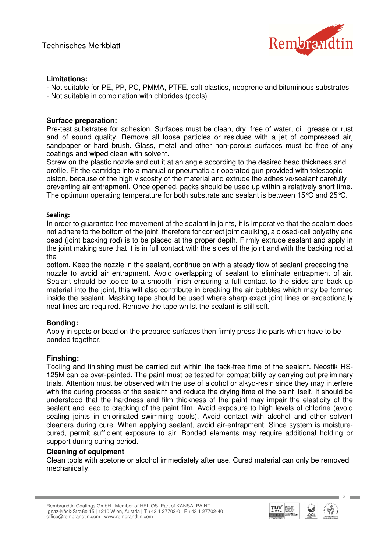

## **Limitations:**

- Not suitable for PE, PP, PC, PMMA, PTFE, soft plastics, neoprene and bituminous substrates - Not suitable in combination with chlorides (pools)

#### **Surface preparation:**

Pre-test substrates for adhesion. Surfaces must be clean, dry, free of water, oil, grease or rust and of sound quality. Remove all loose particles or residues with a jet of compressed air, sandpaper or hard brush. Glass, metal and other non-porous surfaces must be free of any coatings and wiped clean with solvent.

Screw on the plastic nozzle and cut it at an angle according to the desired bead thickness and profile. Fit the cartridge into a manual or pneumatic air operated gun provided with telescopic piston, because of the high viscosity of the material and extrude the adhesive/sealant carefully preventing air entrapment. Once opened, packs should be used up within a relatively short time. The optimum operating temperature for both substrate and sealant is between 15°C and 25°C.

#### Sealing:

In order to guarantee free movement of the sealant in joints, it is imperative that the sealant does not adhere to the bottom of the joint, therefore for correct joint caulking, a closed-cell polyethylene bead (joint backing rod) is to be placed at the proper depth. Firmly extrude sealant and apply in the joint making sure that it is in full contact with the sides of the joint and with the backing rod at the

bottom. Keep the nozzle in the sealant, continue on with a steady flow of sealant preceding the nozzle to avoid air entrapment. Avoid overlapping of sealant to eliminate entrapment of air. Sealant should be tooled to a smooth finish ensuring a full contact to the sides and back up material into the joint, this will also contribute in breaking the air bubbles which may be formed inside the sealant. Masking tape should be used where sharp exact joint lines or exceptionally neat lines are required. Remove the tape whilst the sealant is still soft.

#### **Bonding:**

Apply in spots or bead on the prepared surfaces then firmly press the parts which have to be bonded together.

#### **Finshing:**

Tooling and finishing must be carried out within the tack-free time of the sealant. Neostik HS-125M can be over-painted. The paint must be tested for compatibility by carrying out preliminary trials. Attention must be observed with the use of alcohol or alkyd-resin since they may interfere with the curing process of the sealant and reduce the drying time of the paint itself. It should be understood that the hardness and film thickness of the paint may impair the elasticity of the sealant and lead to cracking of the paint film. Avoid exposure to high levels of chlorine (avoid sealing joints in chlorinated swimming pools). Avoid contact with alcohol and other solvent cleaners during cure. When applying sealant, avoid air-entrapment. Since system is moisturecured, permit sufficient exposure to air. Bonded elements may require additional holding or support during curing period.

#### **Cleaning of equipment**

Clean tools with acetone or alcohol immediately after use. Cured material can only be removed mechanically.



**College**